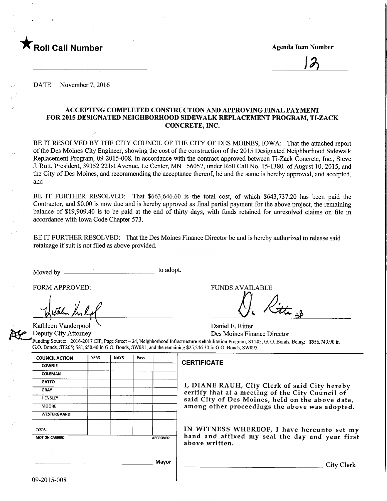

 $12$ 

DATE November 7, 2016

## ACCEPTING COMPLETED CONSTRUCTION AND APPROVING FINAL PAYMENT FOR 2015 DESIGNATED NEIGHBORHOOD SIDEWALK REPLACEMENT PROGRAM, TI-ZACK CONCRETE, INC.

BE IT RESOLVED BY THE CITY COUNCIL OF THE CITY OF DES MOINES, IOWA: That the attached report of the Des Moines City Engineer, showing the cost of the constmction of the 2015 Designated Neighborhood Sidewalk Replacement Program, 09-2015-008, in accordance with the contract approved between Ti-Zack Concrete, Inc., Steve J. Rutt, President, 39352 221st Avenue, Le Center, MN 56057, under Roll Call No. 15-1380, of August 10, 2015, and the City of Des Moines, and recommending the acceptance thereof, be and the same is hereby approved, and accepted, and

BE IT FURTHER RESOLVED: That \$663,646.60 is the total cost, of which \$643,737.20 has been paid the Contractor, and \$0.00 is now due and is hereby approved as final partial payment for the above project, the remaining balance of \$19,909.40 is to be paid at the end of thirty days, with funds retained for unresolved claims on file in accordance with Iowa Code Chapter 573.

BE IT FURTHER RESOLVED: That the Des Moines Finance Director be and is hereby authorized to release said retainage if suit is not filed as above provided.

Moved by to adopt.

FORM APPROVED: FUNDS AVAILABLE ).<br>2tti <sub>B</sub>b

Kathleen Vanderpool V Daniel E. Ritter<br>
Deputy City Attorney Des Moines Fin Des Moines Finance Director

Funding Source: 2016-2017 CIP, Page Street - 24, Neighborhood Infrastructure Rehabilitation Program, ST205, G. 0. Bonds, Being: \$556,749.90 in G.O. Bonds, ST205; \$81,650.40 in G.O. Bonds, SW081; and the remaining \$25,246.30 in G.O. Bonds, SW095.

| <b>COUNCIL ACTION</b> | <b>YEAS</b> | <b>NAYS</b> | Pass |                 |   |
|-----------------------|-------------|-------------|------|-----------------|---|
| <b>COWNIE</b>         |             |             |      |                 | C |
| <b>COLEMAN</b>        |             |             |      |                 |   |
| <b>GATTO</b>          |             |             |      |                 |   |
| <b>GRAY</b>           |             |             |      |                 |   |
| <b>HENSLEY</b>        |             |             |      |                 |   |
| <b>MOORE</b>          |             |             |      |                 |   |
| <b>WESTERGAARD</b>    |             |             |      |                 |   |
| <b>TOTAL</b>          |             |             |      |                 |   |
| <b>MOTION CARRIED</b> |             |             |      | <b>APPROVED</b> |   |
|                       |             |             |      |                 | ź |
|                       |             |             |      | Mayor           |   |

## **CERTIFICATE**

I, DIANE RAUH, City Clerk of said City hereby certify that at a meeting of the City Council of said City of Des Moines, held on the above date, among other proceedings the above was adopted.

IN WITNESS WHEREOF, I have hereunto set my hand and affixed my seal the day and year first above written.

**City Clerk** 

09-2015-008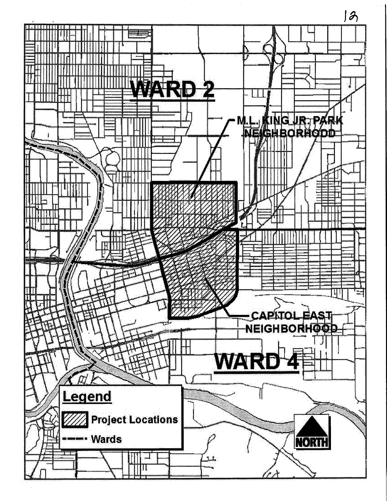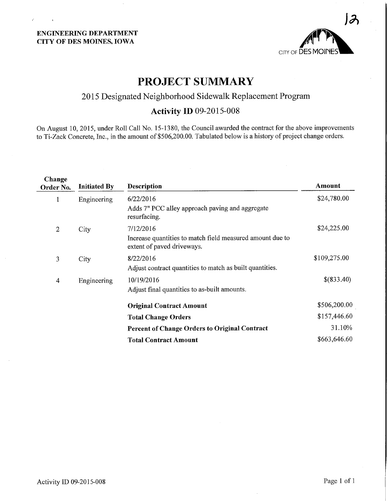

# PROJECT SUMMARY

# 2015 Designated Neighborhood Sidewalk Replacement Program

# Activity ID 09-2015-008

On August 10, 2015, under Roll Call No. 15-1380, the Council awarded the contract for the above improvements to Ti-Zack Concrete, Inc., in the amount of \$506,200.00. Tabulated below is a history of project change orders.

| Change<br>Order No. | <b>Initiated By</b> | <b>Description</b>                                                                      | Amount       |
|---------------------|---------------------|-----------------------------------------------------------------------------------------|--------------|
| 1                   | Engineering         | 6/22/2016                                                                               | \$24,780.00  |
|                     |                     | Adds 7" PCC alley approach paving and aggregate<br>resurfacing.                         |              |
| $\mathbf{2}$        | City                | 7/12/2016                                                                               | \$24,225.00  |
|                     |                     | Increase quantities to match field measured amount due to<br>extent of paved driveways. |              |
| 3                   | City                | 8/22/2016                                                                               | \$109,275.00 |
|                     |                     | Adjust contract quantities to match as built quantities.                                |              |
| 4                   | Engineering         | 10/19/2016                                                                              | \$(833.40)   |
|                     |                     | Adjust final quantities to as-built amounts.                                            |              |
|                     |                     | <b>Original Contract Amount</b>                                                         | \$506,200.00 |
|                     |                     | <b>Total Change Orders</b>                                                              | \$157,446.60 |
|                     |                     | <b>Percent of Change Orders to Original Contract</b>                                    | 31.10%       |
|                     |                     | <b>Total Contract Amount</b>                                                            | \$663,646.60 |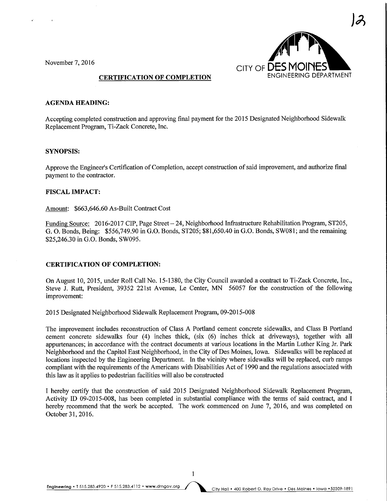

#### AGENDA HEADING:

Accepting completed construction and approving final payment for the 2015 Designated Neighborhood Sidewalk Replacement Program, Ti-Zack Concrete, Inc.

## SYNOPSIS:

Approve the Engineer's Certification of Completion, accept construction of said improvement, and authorize final payment to the contractor.

### FISCAL IMPACT:

Amount: \$663,646.60 As-Built Contract Cost

Funding Source: 2016-2017 CIP, Page Street - 24, Neighborhood Infrastructure Rehabilitation Program, ST205, G. 0. Bonds, Being: \$556,749.90 in G.O. Bonds, ST205; \$81,650.40 in G.O. Bonds, SW081; and the remaining \$25,246.30 in G.O. Bonds, SW095.

#### CERTIFICATION OF COMPLETION:

On August 10, 2015, under Roll Call No. 15-1380, the City Council awarded a contract to Ti-Zack Concrete, Inc., Steve J. Rutt, President, 39352 221st Avenue, Le Center, MN 56057 for the construction of the following improvement:

2015 Designated Neighborhood Sidewalk Replacement Program, 09-2015-008

The improvement includes reconstruction of Class A Portland cement concrete sidewalks, and Class B Portland cement concrete sidewalks four (4) inches thick, (six (6) inches thick at driveways), together with all appurtenances; in accordance with the contract documents at various locations in the Martin Luther King Jr. Park Neighborhood and the Capitol East Neighborhood, in the City of Des Moines, Iowa. Sidewalks will be replaced at locations inspected by the Engineering Department. In the vicinity where sidewalks will be replaced, curb ramps compliant with the requirements of the Americans with Disabilities Act of 1990 and the regulations associated with this law as it applies to pedestrian facilities will also be constructed

I hereby certify that the construction of said 2015 Designated Neighborhood Sidewalk Replacement Program, Activity ID 09-2015-008, has been completed in substantial compliance with the terms of said contract, and I hereby recommend that the work be accepted. The work commenced on June 7, 2016, and was completed on October 31,2016.

Engineering . T 515.283.4920 . F 515.283.4112 . www.dmgov.org City Hall . 400 Robert D. Ray Drive . Des Moines . Iowa . 50309-1891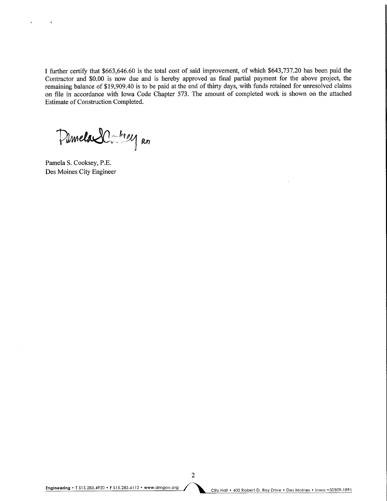I further certify that \$663,646.60 is the total cost of said improvement, of which \$643,737.20 has been paid the Contractor and \$0.00 is now due and is hereby approved as final partial payment for the above project, the remaining balance of \$19,909.40 is to be paid at the end of thirty days, with funds retained for unresolved claims on file in accordance with Iowa Code Chapter 573. The amount of completed work is shown on the attached Estimate of Construction Completed.

Pilmela SC: 1824 RD

Pamela S. Cooksey, P.E. Des Moines City Engineer

 $\overline{2}$